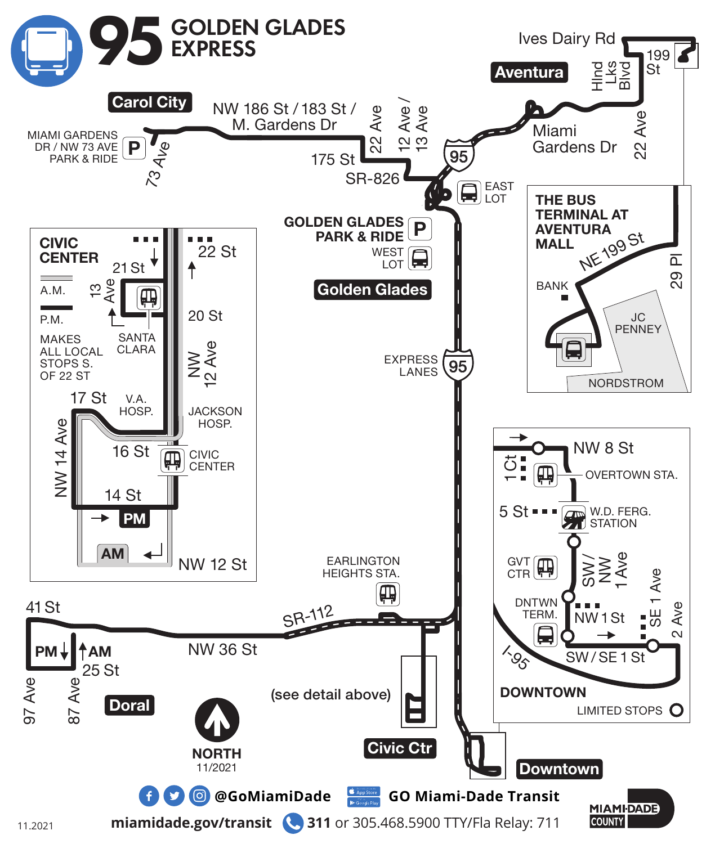